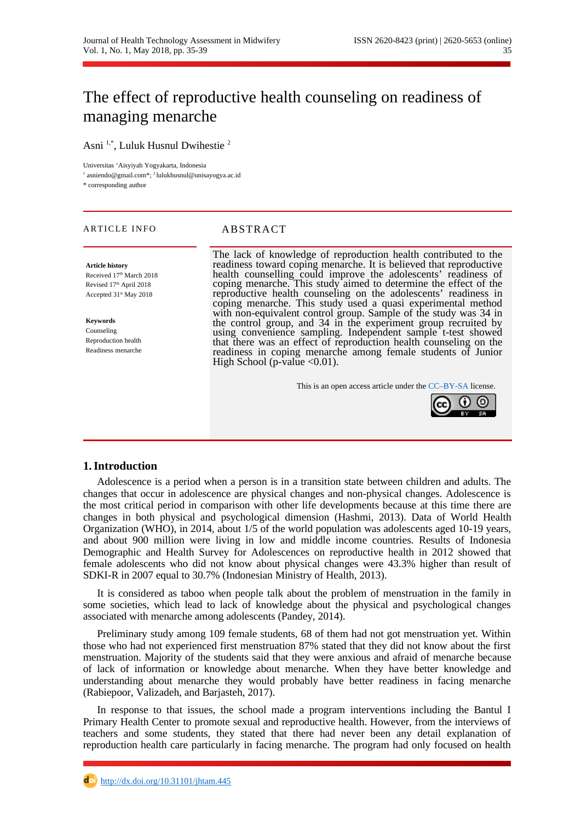# The effect of reproductive health counseling on readiness of managing menarche

Asni 1,\*, Luluk Husnul Dwihestie <sup>2</sup>

Universitas 'Aisyiyah Yogyakarta, Indonesia

<sup>1</sup> asniendo@gmail.com\*; <sup>2</sup> lulukhusnul@unisayogya.ac.id

\* corresponding author

#### ARTICLE INFO ABSTRACT

**Article history** Received 17th March 2018 Revised 17<sup>th</sup> April 2018 Accepted 31<sup>st</sup> May 2018

**Keywords** Counseling Reproduction health Readiness menarche

The lack of knowledge of reproduction health contributed to the readiness toward coping menarche. It is believed that reproductive health counselling could improve the adolescents' readiness of coping menarche. This study aimed to determine the effect of the reproductive health counseling on the adolescents' readiness in coping menarche. This study used a quasi experimental method with non-equivalent control group. Sample of the study was 34 in the control group, and 34 in the experiment group recruited by using convenience sampling. Independent sample t-test showed that there was an effect of reproduction health counseling on the readiness in coping menarche among female students of Junior High School (p-value  $\leq 0.01$ ).

This is an open access article under the [CC–BY-SA](http://creativecommons.org/licenses/by-sa/4.0/) license.



### **1.Introduction**

Adolescence is a period when a person is in a transition state between children and adults. The changes that occur in adolescence are physical changes and non-physical changes. Adolescence is the most critical period in comparison with other life developments because at this time there are changes in both physical and psychological dimension (Hashmi, 2013). Data of World Health Organization (WHO), in 2014, about 1/5 of the world population was adolescents aged 10-19 years, and about 900 million were living in low and middle income countries. Results of Indonesia Demographic and Health Survey for Adolescences on reproductive health in 2012 showed that female adolescents who did not know about physical changes were 43.3% higher than result of SDKI-R in 2007 equal to 30.7% (Indonesian Ministry of Health, 2013).

It is considered as taboo when people talk about the problem of menstruation in the family in some societies, which lead to lack of knowledge about the physical and psychological changes associated with menarche among adolescents (Pandey, 2014).

Preliminary study among 109 female students, 68 of them had not got menstruation yet. Within those who had not experienced first menstruation 87% stated that they did not know about the first menstruation. Majority of the students said that they were anxious and afraid of menarche because of lack of information or knowledge about menarche. When they have better knowledge and understanding about menarche they would probably have better readiness in facing menarche (Rabiepoor, Valizadeh, and Barjasteh, 2017).

In response to that issues, the school made a program interventions including the Bantul I Primary Health Center to promote sexual and reproductive health. However, from the interviews of teachers and some students, they stated that there had never been any detail explanation of reproduction health care particularly in facing menarche. The program had only focused on health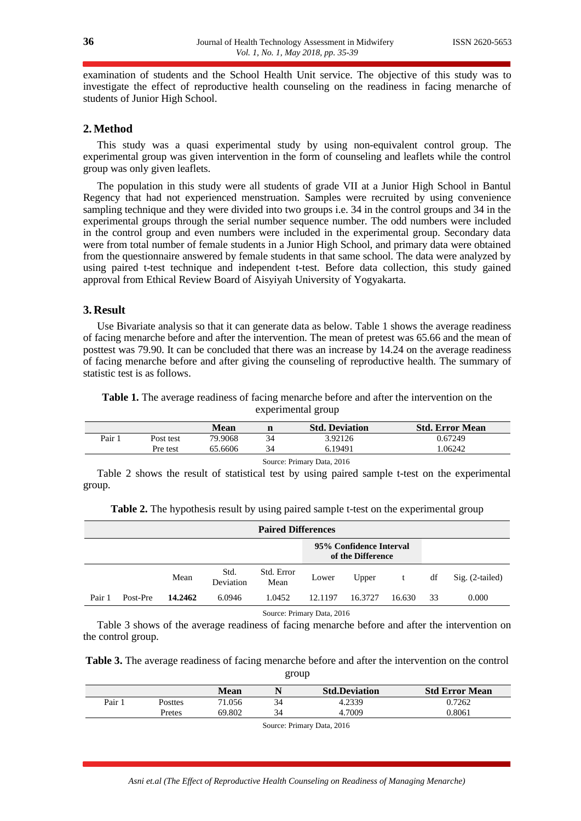examination of students and the School Health Unit service. The objective of this study was to investigate the effect of reproductive health counseling on the readiness in facing menarche of students of Junior High School.

# **2.Method**

This study was a quasi experimental study by using non-equivalent control group. The experimental group was given intervention in the form of counseling and leaflets while the control group was only given leaflets.

The population in this study were all students of grade VII at a Junior High School in Bantul Regency that had not experienced menstruation. Samples were recruited by using convenience sampling technique and they were divided into two groups i.e. 34 in the control groups and 34 in the experimental groups through the serial number sequence number. The odd numbers were included in the control group and even numbers were included in the experimental group. Secondary data were from total number of female students in a Junior High School, and primary data were obtained from the questionnaire answered by female students in that same school. The data were analyzed by using paired t-test technique and independent t-test. Before data collection, this study gained approval from Ethical Review Board of Aisyiyah University of Yogyakarta.

### **3. Result**

Use Bivariate analysis so that it can generate data as below. Table 1 shows the average readiness of facing menarche before and after the intervention. The mean of pretest was 65.66 and the mean of posttest was 79.90. It can be concluded that there was an increase by 14.24 on the average readiness of facing menarche before and after giving the counseling of reproductive health. The summary of statistic test is as follows.

**Table 1.** The average readiness of facing menarche before and after the intervention on the experimental group

|                            |           | Mean    | n  | <b>Std. Deviation</b> | <b>Std. Error Mean</b> |  |  |  |  |
|----------------------------|-----------|---------|----|-----------------------|------------------------|--|--|--|--|
| Pair 1                     | Post test | 79.9068 | 34 | 3.92126               | 0.67249                |  |  |  |  |
|                            | Pre test  | 65.6606 | 34 | 6.19491               | 1.06242                |  |  |  |  |
| Source: Primary Data, 2016 |           |         |    |                       |                        |  |  |  |  |

Table 2 shows the result of statistical test by using paired sample t-test on the experimental group.

| <b>Paired Differences</b> |                                              |         |                   |                    |                |         |        |                 |       |  |
|---------------------------|----------------------------------------------|---------|-------------------|--------------------|----------------|---------|--------|-----------------|-------|--|
|                           | 95% Confidence Interval<br>of the Difference |         |                   |                    |                |         |        |                 |       |  |
|                           |                                              | Mean    | Std.<br>Deviation | Std. Error<br>Mean | Upper<br>Lower |         | df     | Sig. (2-tailed) |       |  |
| Pair 1                    | Post-Pre                                     | 14.2462 | 6.0946            | 1.0452             | 12.1197        | 16.3727 | 16.630 | 33              | 0.000 |  |

**Table 2.** The hypothesis result by using paired sample t-test on the experimental group

Source: Primary Data, 2016

Table 3 shows of the average readiness of facing menarche before and after the intervention on the control group.

| Table 3. The average readiness of facing menarche before and after the intervention on the control |
|----------------------------------------------------------------------------------------------------|
| group                                                                                              |

|      |         | Mean   |    | <b>Std.Deviation</b> | <b>Std Error Mean</b> |
|------|---------|--------|----|----------------------|-----------------------|
| Pair | Posttes | 71.056 | 34 | 4.2339               | 0.7262                |
|      | Pretes  | 69.802 | 34 | 4.7009               | 0.8061                |

Source: Primary Data, 2016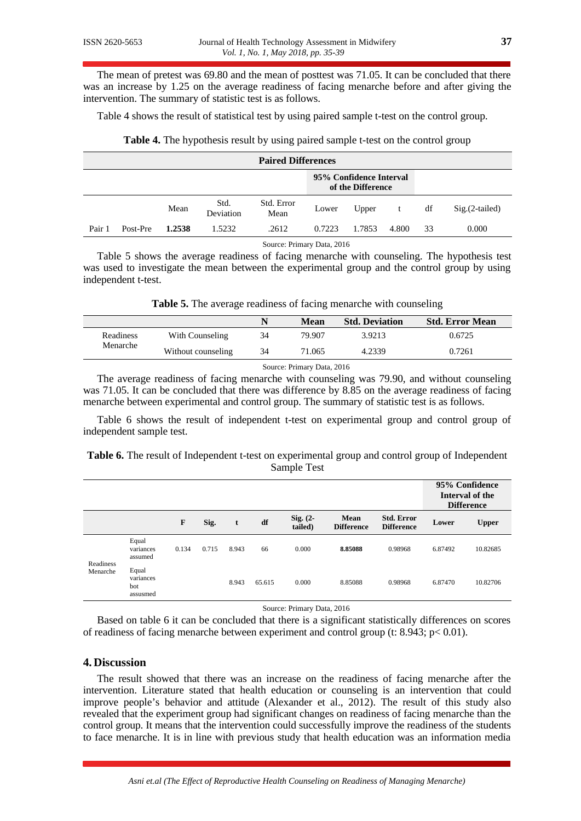The mean of pretest was 69.80 and the mean of posttest was 71.05. It can be concluded that there was an increase by 1.25 on the average readiness of facing menarche before and after giving the intervention. The summary of statistic test is as follows.

Table 4 shows the result of statistical test by using paired sample t-test on the control group.

| <b>Paired Differences</b> |          |        |                   |                    |        |                                              |       |    |                |  |  |
|---------------------------|----------|--------|-------------------|--------------------|--------|----------------------------------------------|-------|----|----------------|--|--|
|                           |          |        |                   |                    |        | 95% Confidence Interval<br>of the Difference |       |    |                |  |  |
|                           |          | Mean   | Std.<br>Deviation | Std. Error<br>Mean | Lower  | Upper<br>t                                   |       | df | Sig.(2-tailed) |  |  |
| Pair 1                    | Post-Pre | 1.2538 | 1.5232            | .2612              | 0.7223 | 1.7853                                       | 4.800 | 33 | 0.000          |  |  |

**Table 4.** The hypothesis result by using paired sample t-test on the control group

Source: Primary Data, 2016

Table 5 shows the average readiness of facing menarche with counseling. The hypothesis test was used to investigate the mean between the experimental group and the control group by using independent t-test.

**Table 5.** The average readiness of facing menarche with counseling

|           |                    | N  | Mean   | <b>Std. Deviation</b> | <b>Std. Error Mean</b> |
|-----------|--------------------|----|--------|-----------------------|------------------------|
| Readiness | With Counseling    | 34 | 79.907 | 3.9213                | 0.6725                 |
| Menarche  | Without counseling | 34 | 71.065 | 4.2339                | 0.7261                 |
|           |                    |    |        |                       |                        |

Source: Primary Data, 2016

The average readiness of facing menarche with counseling was 79.90, and without counseling was 71.05. It can be concluded that there was difference by 8.85 on the average readiness of facing menarche between experimental and control group. The summary of statistic test is as follows.

Table 6 shows the result of independent t-test on experimental group and control group of independent sample test.

# **Table 6.** The result of Independent t-test on experimental group and control group of Independent Sample Test

|                       |                                       |       |       |       |        |                        |                           |                                        | 95% Confidence<br>Interval of the<br><b>Difference</b> |              |  |
|-----------------------|---------------------------------------|-------|-------|-------|--------|------------------------|---------------------------|----------------------------------------|--------------------------------------------------------|--------------|--|
|                       |                                       | F     | Sig.  | t     | df     | $Sig. (2 -$<br>tailed) | Mean<br><b>Difference</b> | <b>Std. Error</b><br><b>Difference</b> | Lower                                                  | <b>Upper</b> |  |
| Readiness<br>Menarche | Equal<br>variances<br>assumed         | 0.134 | 0.715 | 8.943 | 66     | 0.000                  | 8.85088                   | 0.98968                                | 6.87492                                                | 10.82685     |  |
|                       | Equal<br>variances<br>bot<br>assusmed |       |       | 8.943 | 65.615 | 0.000                  | 8.85088                   | 0.98968                                | 6.87470                                                | 10.82706     |  |

Source: Primary Data, 2016

Based on table 6 it can be concluded that there is a significant statistically differences on scores of readiness of facing menarche between experiment and control group (t: 8.943; p< 0.01).

### **4. Discussion**

The result showed that there was an increase on the readiness of facing menarche after the intervention. Literature stated that health education or counseling is an intervention that could improve people's behavior and attitude (Alexander et al., 2012). The result of this study also revealed that the experiment group had significant changes on readiness of facing menarche than the control group. It means that the intervention could successfully improve the readiness of the students to face menarche. It is in line with previous study that health education was an information media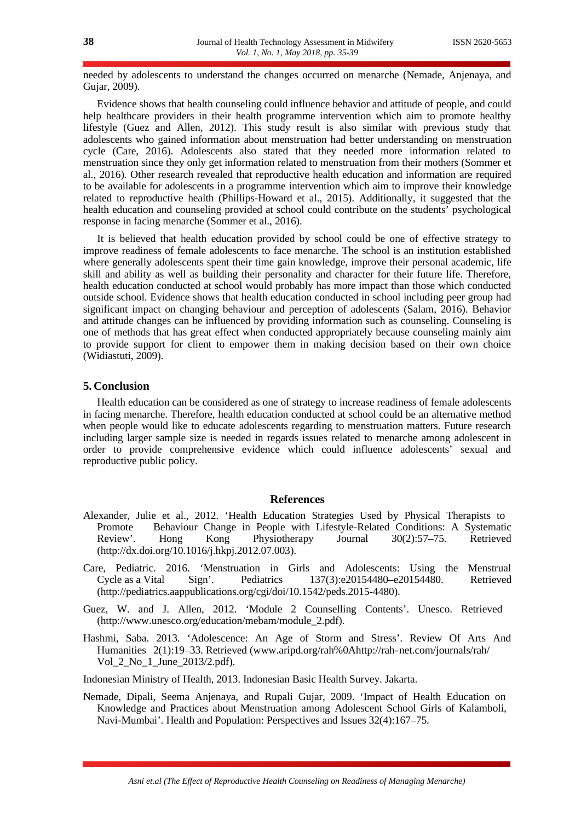needed by adolescents to understand the changes occurred on menarche (Nemade, Anjenaya, and Gujar, 2009).

Evidence shows that health counseling could influence behavior and attitude of people, and could help healthcare providers in their health programme intervention which aim to promote healthy lifestyle (Guez and Allen, 2012). This study result is also similar with previous study that adolescents who gained information about menstruation had better understanding on menstruation cycle (Care, 2016). Adolescents also stated that they needed more information related to menstruation since they only get information related to menstruation from their mothers (Sommer et al., 2016). Other research revealed that reproductive health education and information are required to be available for adolescents in a programme intervention which aim to improve their knowledge related to reproductive health (Phillips-Howard et al., 2015). Additionally, it suggested that the health education and counseling provided at school could contribute on the students' psychological response in facing menarche (Sommer et al., 2016).

It is believed that health education provided by school could be one of effective strategy to improve readiness of female adolescents to face menarche. The school is an institution established where generally adolescents spent their time gain knowledge, improve their personal academic, life skill and ability as well as building their personality and character for their future life. Therefore, health education conducted at school would probably has more impact than those which conducted outside school. Evidence shows that health education conducted in school including peer group had significant impact on changing behaviour and perception of adolescents (Salam, 2016). Behavior and attitude changes can be influenced by providing information such as counseling. Counseling is one of methods that has great effect when conducted appropriately because counseling mainly aim to provide support for client to empower them in making decision based on their own choice (Widiastuti, 2009).

#### **5. Conclusion**

Health education can be considered as one of strategy to increase readiness of female adolescents in facing menarche. Therefore, health education conducted at school could be an alternative method when people would like to educate adolescents regarding to menstruation matters. Future research including larger sample size is needed in regards issues related to menarche among adolescent in order to provide comprehensive evidence which could influence adolescents' sexual and reproductive public policy.

#### **References**

- Alexander, Julie et al., 2012. 'Health Education Strategies Used by Physical Therapists to Promote Behaviour Change in People with Lifestyle-Related Conditions: A Systematic Review'. Hong Kong Physiotherapy Journal 30(2):57–75. Retrieved (http://dx.doi.org/10.1016/j.hkpj.2012.07.003).
- Care, Pediatric. 2016. 'Menstruation in Girls and Adolescents: Using the Menstrual Cycle as a Vital Sign'. Pediatrics 137(3):e20154480–e20154480. Retrieved (http://pediatrics.aappublications.org/cgi/doi/10.1542/peds.2015-4480).
- Guez, W. and J. Allen, 2012. 'Module 2 Counselling Contents'. Unesco. Retrieved (http://www.unesco.org/education/mebam/module\_2.pdf).
- Hashmi, Saba. 2013. 'Adolescence: An Age of Storm and Stress'. Review Of Arts And Humanities 2(1):19–33. Retrieved (www.aripd.org/rah%0Ahttp://rah-net.com/journals/rah/ Vol\_2\_No\_1\_June\_2013/2.pdf).

Indonesian Ministry of Health, 2013. Indonesian Basic Health Survey. Jakarta.

Nemade, Dipali, Seema Anjenaya, and Rupali Gujar, 2009. 'Impact of Health Education on Knowledge and Practices about Menstruation among Adolescent School Girls of Kalamboli, Navi-Mumbai'. Health and Population: Perspectives and Issues 32(4):167–75.